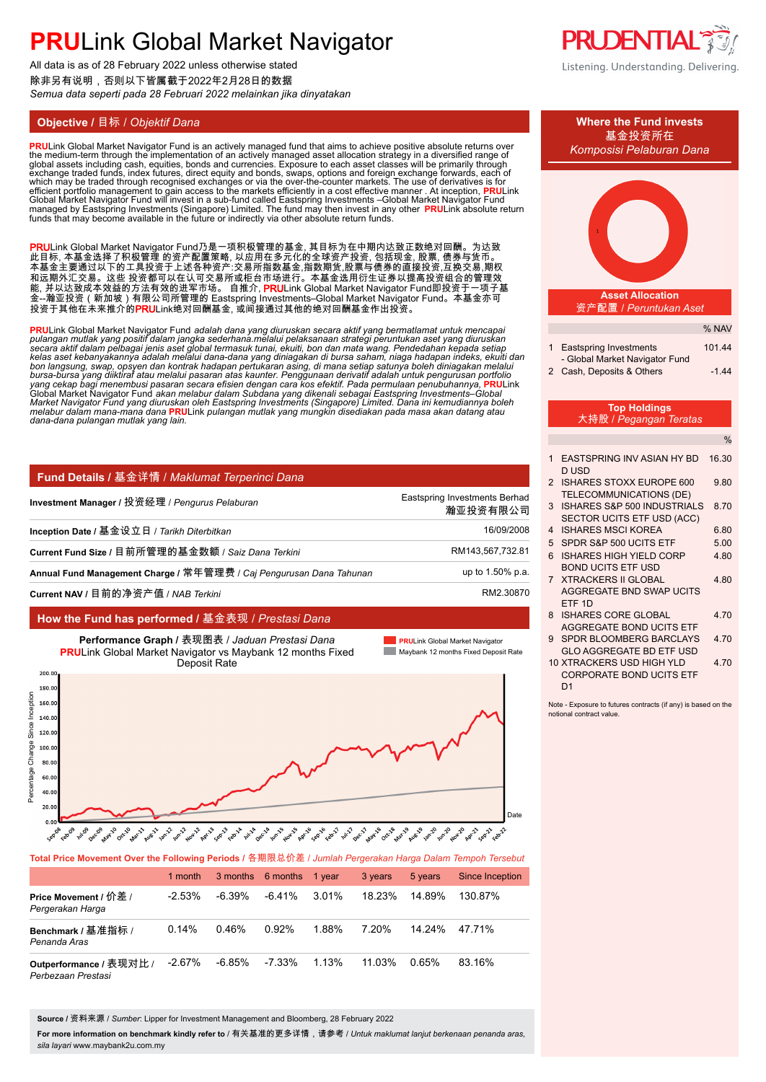All data is as of 28 February 2022 unless otherwise stated 除非另有说明,否则以下皆属截于2022年2月28日的数据 *Semua data seperti pada 28 Februari 2022 melainkan jika dinyatakan*

<mark>PRU</mark>Link Global Market Navigator Fund is an actively managed fund that aims to achieve positive absolute returns over<br>the medium-term through the implementation of an actively managed asset allocation strategy in a divers global assets including cash, equities, bonds and currencies. Exposure to each asset classes will be primarily through<br>exchange traded funds, index futures, direct equity and bonds, swaps, options and foreign exchange forw funds that may become available in the future or indirectly via other absolute return funds.

PRULink Global Market Navigator Fund乃是一项积极管理的基金, 其目标为在中期内达致正数绝对回酬。为达致 此目标, 本基金选择了积极管理 的资产配置策略, 以应用在多元化的全球资产投资, 包括现金, 股票, 债券与货币。 本基金主要通过以下的工具投资于上述各种资产:交易所指数基金,指数期货,股票与债券的直接投资,互换交易,期权 和远期外汇交易。这些 投资都可以在认可交易所或柜台市场进行。本基金选用衍生证券以提高投资组合的管理效 能, 并以达致成本效益的方法有效的进军市场。 自推介, **PRU**Link Global Market Navigator Fund即投资于一项子基 金--瀚亚投资(新加坡)有限公司所管理的 Eastspring Investments–Global Market Navigator Fund。本基金亦可 投资于其他在未来推介的**PRU**Link绝对回酬基金, 或间接通过其他的绝对回酬基金作出投资。

<mark>PRU</mark>Link Global Market Navigator Fund *adalah dana yang diuruskan secara aktif yang bermatlamat untuk mencapai<br>pulangan mutlak yang positif dalam jangka sederhana.melalui pelaksanaan strategi peruntukan aset yang diuruska* bon langsung, swap, opsyen dan kontrak hadapan pertukaran asing, di mana setiap satunya boleh diniagakan melalui<br>bursa-bursa yang diiktiraf atau melalui pasaran atas kaunter. Penggunaan derivatif adalah untuk pengurusan po yang cekap bagi menembusi pasaran secara efisien dengan cara kos efektif. Pada permulaan penubuhannya, <mark>PRU</mark>Link<br>Global Market Navigator Fund akan melabur dalam Subdana yang dikenali sebagai Eastspring Investments–Global Market Navigator Fŭnd yang diuruskan oleh Eastspring Investments (Singapore) Limited. Dana ini kemudiannya boleh<br>melabur dalam mana-mana dana <mark>PRU</mark>Link pulangan mutlak yang mungkin disediakan pada masa akan datang atau *dana-dana pulangan mutlak yang lain.* **.**

| Fund Details / 基金详情 / Maklumat Terperinci Dana                      |                                           |
|---------------------------------------------------------------------|-------------------------------------------|
| Investment Manager / 投资经理 / Pengurus Pelaburan                      | Eastspring Investments Berhad<br>瀚亚投资有限公司 |
| Inception Date / 基金设立日 / Tarikh Diterbitkan                         | 16/09/2008                                |
| Current Fund Size / 目前所管理的基金数额 / Saiz Dana Terkini                  | RM143,567,732.81                          |
| Annual Fund Management Charge / 常年管理费 / Caj Pengurusan Dana Tahunan | up to 1.50% p.a.                          |
| Current NAV / 目前的净资产值 / NAB Terkini                                 | RM2.30870                                 |
|                                                                     |                                           |





| Total Price Movement Over the Following Periods / 各期限总价差 / Jumlah Pergerakan Harga Dalam Tempoh Tersebut |           |           |           |        |         |         |                 |  |  |
|----------------------------------------------------------------------------------------------------------|-----------|-----------|-----------|--------|---------|---------|-----------------|--|--|
|                                                                                                          | 1 month   | 3 months  | 6 months  | 1 vear | 3 years | 5 years | Since Inception |  |  |
| Price Movement / 价差 /<br>Pergerakan Harga                                                                | $-2.53\%$ | $-6.39\%$ | $-6.41\%$ | 3.01%  | 18.23%  | 14.89%  | 130.87%         |  |  |
| Benchmark / 基准指标 /<br>Penanda Aras                                                                       | 0.14%     | 0.46%     | 0.92%     | 1.88%  | 7.20%   | 14 24%  | 47.71%          |  |  |
| Outperformance / 表现对比 /<br>Perbezaan Prestasi                                                            | $-2.67%$  | $-6.85\%$ | $-7.33\%$ | 1.13%  | 11.03%  | 0.65%   | 83.16%          |  |  |

**Source /** 资料来源 / *Sumber*: Lipper for Investment Management and Bloomberg, 28 February 2022

**For more information on benchmark kindly refer to** / 有关基准的更多详情,请参考 / *Untuk maklumat lanjut berkenaan penanda aras, sila layari* www.maybank2u.com.my



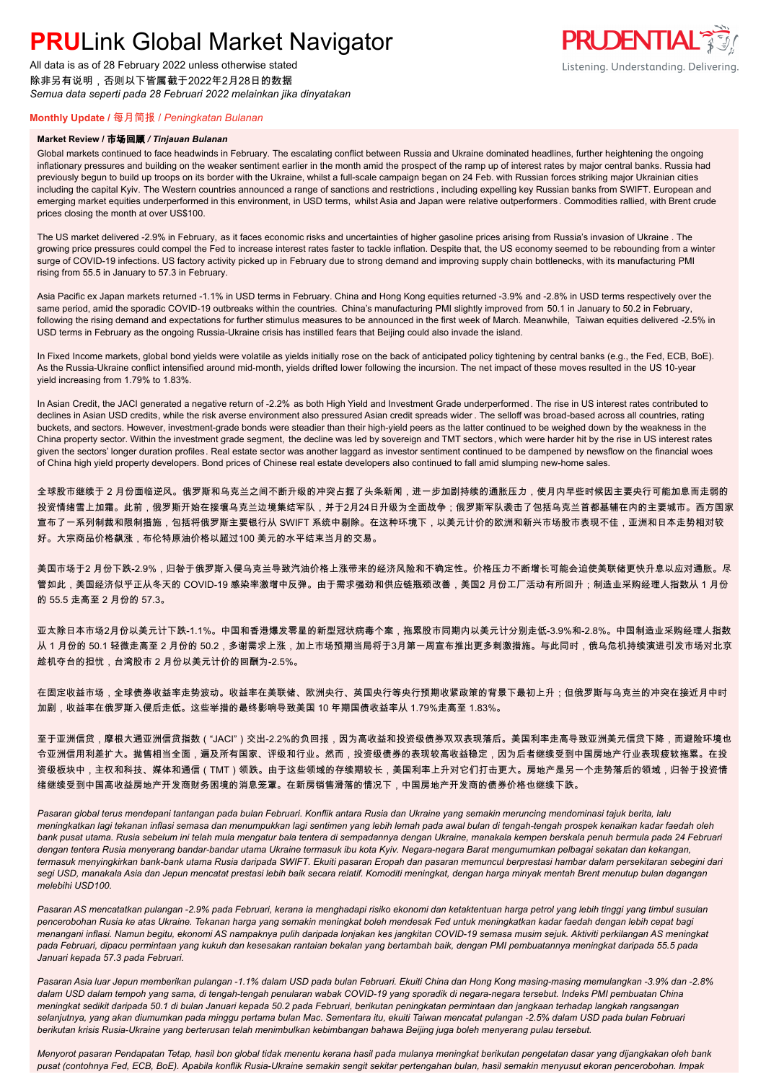All data is as of 28 February 2022 unless otherwise stated 除非另有说明,否则以下皆属截于2022年2月28日的数据 *Semua data seperti pada 28 Februari 2022 melainkan jika dinyatakan*



### **Monthly Update /** 每月简报 / *Peningkatan Bulanan*

#### **Market Review /** 市场回顾 */ Tinjauan Bulanan*

Global markets continued to face headwinds in February. The escalating conflict between Russia and Ukraine dominated headlines, further heightening the ongoing inflationary pressures and building on the weaker sentiment earlier in the month amid the prospect of the ramp up of interest rates by major central banks. Russia had previously begun to build up troops on its border with the Ukraine, whilst a full-scale campaign began on 24 Feb. with Russian forces striking major Ukrainian cities including the capital Kyiv. The Western countries announced a range of sanctions and restrictions, including expelling key Russian banks from SWIFT. European and emerging market equities underperformed in this environment, in USD terms, whilst Asia and Japan were relative outperformers. Commodities rallied, with Brent crude prices closing the month at over US\$100.

The US market delivered -2.9% in February, as it faces economic risks and uncertainties of higher gasoline prices arising from Russia's invasion of Ukraine . The growing price pressures could compel the Fed to increase interest rates faster to tackle inflation. Despite that, the US economy seemed to be rebounding from a winter surge of COVID-19 infections. US factory activity picked up in February due to strong demand and improving supply chain bottlenecks, with its manufacturing PMI rising from 55.5 in January to 57.3 in February.

Asia Pacific ex Japan markets returned -1.1% in USD terms in February. China and Hong Kong equities returned -3.9% and -2.8% in USD terms respectively over the same period, amid the sporadic COVID-19 outbreaks within the countries. China's manufacturing PMI slightly improved from 50.1 in January to 50.2 in February, following the rising demand and expectations for further stimulus measures to be announced in the first week of March. Meanwhile, Taiwan equities delivered -2.5% in USD terms in February as the ongoing Russia-Ukraine crisis has instilled fears that Beijing could also invade the island.

In Fixed Income markets, global bond yields were volatile as yields initially rose on the back of anticipated policy tightening by central banks (e.g., the Fed, ECB, BoE). As the Russia-Ukraine conflict intensified around mid-month, yields drifted lower following the incursion. The net impact of these moves resulted in the US 10-year yield increasing from 1.79% to 1.83%.

In Asian Credit, the JACI generated a negative return of -2.2% as both High Yield and Investment Grade underperformed. The rise in US interest rates contributed to declines in Asian USD credits, while the risk averse environment also pressured Asian credit spreads wider . The selloff was broad-based across all countries, rating buckets, and sectors. However, investment-grade bonds were steadier than their high-yield peers as the latter continued to be weighed down by the weakness in the China property sector. Within the investment grade segment, the decline was led by sovereign and TMT sectors, which were harder hit by the rise in US interest rates given the sectors' longer duration profiles. Real estate sector was another laggard as investor sentiment continued to be dampened by newsflow on the financial woes of China high yield property developers. Bond prices of Chinese real estate developers also continued to fall amid slumping new-home sales.

全球股市继续于 2 月份面临逆风。俄罗斯和乌克兰之间不断升级的冲突占据了头条新闻,进一步加剧持续的通胀压力,使月内早些时候因主要央行可能加息而走弱的 投资情绪雪上加霜。此前,俄罗斯开始在接壤乌克兰边境集结军队,并于2月24日升级为全面战争;俄罗斯军队袭击了包括乌克兰首都基辅在内的主要城市。西方国家 宣布了一系列制裁和限制措施,包括将俄罗斯主要银行从 SWIFT 系统中剔除。在这种环境下,以美元计价的欧洲和新兴市场股市表现不佳,亚洲和日本走势相对较 好。大宗商品价格飙涨,布伦特原油价格以超过100 美元的水平结束当月的交易。

美国市场于2 月份下跌-2.9%,归咎于俄罗斯入侵乌克兰导致汽油价格上涨带来的经济风险和不确定性。价格压力不断增长可能会迫使美联储更快升息以应对通胀。尽 管如此,美国经济似乎正从冬天的 COVID-19 感染率激增中反弹。由于需求强劲和供应链瓶颈改善,美国2 月份工厂活动有所回升;制造业采购经理人指数从 1 月份 的 55.5 走高至 2 月份的 57.3。

亚太除日本市场2月份以美元计下跌-1.1%。中国和香港爆发零星的新型冠状病毒个案,拖累股市同期内以美元计分别走低-3.9%和-2.8%。中国制造业采购经理人指数 从 1 月份的 50.1 轻微走高至 2 月份的 50.2,多谢需求上涨,加上市场预期当局将于3月第一周宣布推出更多刺激措施。与此同时,俄乌危机持续演进引发市场对北京 趁机夺台的担忧,台湾股市 2 月份以美元计价的回酬为-2.5%。

在固定收益市场,全球债券收益率走势波动。收益率在美联储、欧洲央行、英国央行等央行预期收紧政策的背景下最初上升;但俄罗斯与乌克兰的冲突在接近月中时 加剧,收益率在俄罗斯入侵后走低。这些举措的最终影响导致美国 10 年期国债收益率从 1.79%走高至 1.83%。

至于亚洲信贷,摩根大通亚洲信贷指数("JACI")交出-2.2%的负回报,因为高收益和投资级债券双双表现落后。美国利率走高导致亚洲美元信贷下降,而避险环境也 令亚洲信用利差扩大。抛售相当全面,遍及所有国家、评级和行业。然而,投资级债券的表现较高收益稳定,因为后者继续受到中国房地产行业表现疲软拖累。在投 资级板块中,主权和科技、媒体和通信(TMT)领跌。由于这些领域的存续期较长,美国利率上升对它们打击更大。房地产是另一个走势落后的领域,归咎于投资情 绪继续受到中国高收益房地产开发商财务困境的消息笼罩。在新房销售滑落的情况下,中国房地产开发商的债券价格也继续下跌。

*Pasaran global terus mendepani tantangan pada bulan Februari. Konflik antara Rusia dan Ukraine yang semakin meruncing mendominasi tajuk berita, lalu meningkatkan lagi tekanan inflasi semasa dan menumpukkan lagi sentimen yang lebih lemah pada awal bulan di tengah-tengah prospek kenaikan kadar faedah oleh bank pusat utama. Rusia sebelum ini telah mula mengatur bala tentera di sempadannya dengan Ukraine, manakala kempen berskala penuh bermula pada 24 Februari dengan tentera Rusia menyerang bandar-bandar utama Ukraine termasuk ibu kota Kyiv. Negara-negara Barat mengumumkan pelbagai sekatan dan kekangan, termasuk menyingkirkan bank-bank utama Rusia daripada SWIFT. Ekuiti pasaran Eropah dan pasaran memuncul berprestasi hambar dalam persekitaran sebegini dari segi USD, manakala Asia dan Jepun mencatat prestasi lebih baik secara relatif. Komoditi meningkat, dengan harga minyak mentah Brent menutup bulan dagangan melebihi USD100.*

*Pasaran AS mencatatkan pulangan -2.9% pada Februari, kerana ia menghadapi risiko ekonomi dan ketaktentuan harga petrol yang lebih tinggi yang timbul susulan pencerobohan Rusia ke atas Ukraine. Tekanan harga yang semakin meningkat boleh mendesak Fed untuk meningkatkan kadar faedah dengan lebih cepat bagi menangani inflasi. Namun begitu, ekonomi AS nampaknya pulih daripada lonjakan kes jangkitan COVID-19 semasa musim sejuk. Aktiviti perkilangan AS meningkat pada Februari, dipacu permintaan yang kukuh dan kesesakan rantaian bekalan yang bertambah baik, dengan PMI pembuatannya meningkat daripada 55.5 pada Januari kepada 57.3 pada Februari.*

*Pasaran Asia luar Jepun memberikan pulangan -1.1% dalam USD pada bulan Februari. Ekuiti China dan Hong Kong masing-masing memulangkan -3.9% dan -2.8% dalam USD dalam tempoh yang sama, di tengah-tengah penularan wabak COVID-19 yang sporadik di negara-negara tersebut. Indeks PMI pembuatan China meningkat sedikit daripada 50.1 di bulan Januari kepada 50.2 pada Februari, berikutan peningkatan permintaan dan jangkaan terhadap langkah rangsangan selanjutnya, yang akan diumumkan pada minggu pertama bulan Mac. Sementara itu, ekuiti Taiwan mencatat pulangan -2.5% dalam USD pada bulan Februari berikutan krisis Rusia-Ukraine yang berterusan telah menimbulkan kebimbangan bahawa Beijing juga boleh menyerang pulau tersebut.*

*Menyorot pasaran Pendapatan Tetap, hasil bon global tidak menentu kerana hasil pada mulanya meningkat berikutan pengetatan dasar yang dijangkakan oleh bank pusat (contohnya Fed, ECB, BoE). Apabila konflik Rusia-Ukraine semakin sengit sekitar pertengahan bulan, hasil semakin menyusut ekoran pencerobohan. Impak*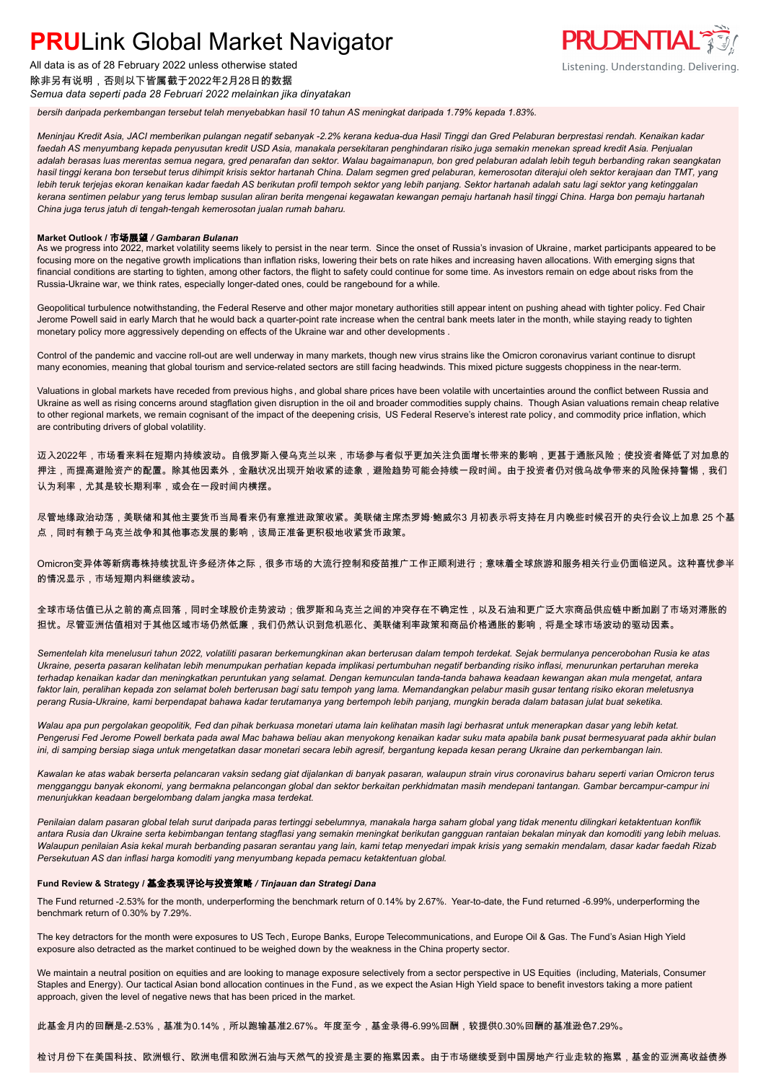All data is as of 28 February 2022 unless otherwise stated 除非另有说明,否则以下皆属截于2022年2月28日的数据

*Semua data seperti pada 28 Februari 2022 melainkan jika dinyatakan*

*bersih daripada perkembangan tersebut telah menyebabkan hasil 10 tahun AS meningkat daripada 1.79% kepada 1.83%.*

*Meninjau Kredit Asia, JACI memberikan pulangan negatif sebanyak -2.2% kerana kedua-dua Hasil Tinggi dan Gred Pelaburan berprestasi rendah. Kenaikan kadar faedah AS menyumbang kepada penyusutan kredit USD Asia, manakala persekitaran penghindaran risiko juga semakin menekan spread kredit Asia. Penjualan adalah berasas luas merentas semua negara, gred penarafan dan sektor. Walau bagaimanapun, bon gred pelaburan adalah lebih teguh berbanding rakan seangkatan hasil tinggi kerana bon tersebut terus dihimpit krisis sektor hartanah China. Dalam segmen gred pelaburan, kemerosotan diterajui oleh sektor kerajaan dan TMT, yang lebih teruk terjejas ekoran kenaikan kadar faedah AS berikutan profil tempoh sektor yang lebih panjang. Sektor hartanah adalah satu lagi sektor yang ketinggalan kerana sentimen pelabur yang terus lembap susulan aliran berita mengenai kegawatan kewangan pemaju hartanah hasil tinggi China. Harga bon pemaju hartanah China juga terus jatuh di tengah-tengah kemerosotan jualan rumah baharu.*

**PRUDENTIAL** 

Listening. Understanding. Delivering.

### **Market Outlook /** 市场展望 */ Gambaran Bulanan*

As we progress into 2022, market volatility seems likely to persist in the near term. Since the onset of Russia's invasion of Ukraine, market participants appeared to be focusing more on the negative growth implications than inflation risks, lowering their bets on rate hikes and increasing haven allocations. With emerging signs that financial conditions are starting to tighten, among other factors, the flight to safety could continue for some time. As investors remain on edge about risks from the Russia-Ukraine war, we think rates, especially longer-dated ones, could be rangebound for a while.

Geopolitical turbulence notwithstanding, the Federal Reserve and other major monetary authorities still appear intent on pushing ahead with tighter policy. Fed Chair Jerome Powell said in early March that he would back a quarter-point rate increase when the central bank meets later in the month, while staying ready to tighten monetary policy more aggressively depending on effects of the Ukraine war and other developments .

Control of the pandemic and vaccine roll-out are well underway in many markets, though new virus strains like the Omicron coronavirus variant continue to disrupt many economies, meaning that global tourism and service-related sectors are still facing headwinds. This mixed picture suggests choppiness in the near-term.

Valuations in global markets have receded from previous highs, and global share prices have been volatile with uncertainties around the conflict between Russia and Ukraine as well as rising concerns around stagflation given disruption in the oil and broader commodities supply chains. Though Asian valuations remain cheap relative to other regional markets, we remain cognisant of the impact of the deepening crisis, US Federal Reserve's interest rate policy, and commodity price inflation, which are contributing drivers of global volatility.

迈入2022年,市场看来料在短期内持续波动。自俄罗斯入侵乌克兰以来,市场参与者似乎更加关注负面增长带来的影响,更甚于通胀风险;使投资者降低了对加息的 押注,而提高避险资产的配置。除其他因素外,金融状况出现开始收紧的迹象,避险趋势可能会持续一段时间。由于投资者仍对俄乌战争带来的风险保持警惕,我们 认为利率,尤其是较长期利率,或会在一段时间内横摆。

尽管地缘政治动荡,美联储和其他主要货币当局看来仍有意推进政策收紧。美联储主席杰罗姆·鲍威尔3 月初表示将支持在月内晚些时候召开的央行会议上加息 25 个基 点,同时有赖于乌克兰战争和其他事态发展的影响,该局正准备更积极地收紧货币政策。

Omicron变异体等新病毒株持续扰乱许多经济体之际,很多市场的大流行控制和疫苗推广工作正顺利进行;意味着全球旅游和服务相关行业仍面临逆风。这种喜忧参半 的情况显示,市场短期内料继续波动。

全球市场估值已从之前的高点回落,同时全球股价走势波动;俄罗斯和乌克兰之间的冲突存在不确定性,以及石油和更广泛大宗商品供应链中断加剧了市场对滞胀的 担忧。尽管亚洲估值相对于其他区域市场仍然低廉,我们仍然认识到危机恶化、美联储利率政策和商品价格通胀的影响,将是全球市场波动的驱动因素。

*Sementelah kita menelusuri tahun 2022, volatiliti pasaran berkemungkinan akan berterusan dalam tempoh terdekat. Sejak bermulanya pencerobohan Rusia ke atas Ukraine, peserta pasaran kelihatan lebih menumpukan perhatian kepada implikasi pertumbuhan negatif berbanding risiko inflasi, menurunkan pertaruhan mereka terhadap kenaikan kadar dan meningkatkan peruntukan yang selamat. Dengan kemunculan tanda-tanda bahawa keadaan kewangan akan mula mengetat, antara faktor lain, peralihan kepada zon selamat boleh berterusan bagi satu tempoh yang lama. Memandangkan pelabur masih gusar tentang risiko ekoran meletusnya perang Rusia-Ukraine, kami berpendapat bahawa kadar terutamanya yang bertempoh lebih panjang, mungkin berada dalam batasan julat buat seketika.*

*Walau apa pun pergolakan geopolitik, Fed dan pihak berkuasa monetari utama lain kelihatan masih lagi berhasrat untuk menerapkan dasar yang lebih ketat. Pengerusi Fed Jerome Powell berkata pada awal Mac bahawa beliau akan menyokong kenaikan kadar suku mata apabila bank pusat bermesyuarat pada akhir bulan ini, di samping bersiap siaga untuk mengetatkan dasar monetari secara lebih agresif, bergantung kepada kesan perang Ukraine dan perkembangan lain.*

*Kawalan ke atas wabak berserta pelancaran vaksin sedang giat dijalankan di banyak pasaran, walaupun strain virus coronavirus baharu seperti varian Omicron terus mengganggu banyak ekonomi, yang bermakna pelancongan global dan sektor berkaitan perkhidmatan masih mendepani tantangan. Gambar bercampur-campur ini menunjukkan keadaan bergelombang dalam jangka masa terdekat.*

*Penilaian dalam pasaran global telah surut daripada paras tertinggi sebelumnya, manakala harga saham global yang tidak menentu dilingkari ketaktentuan konflik antara Rusia dan Ukraine serta kebimbangan tentang stagflasi yang semakin meningkat berikutan gangguan rantaian bekalan minyak dan komoditi yang lebih meluas. Walaupun penilaian Asia kekal murah berbanding pasaran serantau yang lain, kami tetap menyedari impak krisis yang semakin mendalam, dasar kadar faedah Rizab Persekutuan AS dan inflasi harga komoditi yang menyumbang kepada pemacu ketaktentuan global.*

### **Fund Review & Strategy /** 基金表现评论与投资策略 */ Tinjauan dan Strategi Dana*

The Fund returned -2.53% for the month, underperforming the benchmark return of 0.14% by 2.67%. Year-to-date, the Fund returned -6.99%, underperforming the benchmark return of 0.30% by 7.29%.

The key detractors for the month were exposures to US Tech, Europe Banks, Europe Telecommunications, and Europe Oil & Gas. The Fund's Asian High Yield exposure also detracted as the market continued to be weighed down by the weakness in the China property sector.

We maintain a neutral position on equities and are looking to manage exposure selectively from a sector perspective in US Equities (including, Materials, Consumer Staples and Energy). Our tactical Asian bond allocation continues in the Fund , as we expect the Asian High Yield space to benefit investors taking a more patient approach, given the level of negative news that has been priced in the market.

此基金月内的回酬是-2.53%,基准为0.14%,所以跑输基准2.67%。年度至今,基金录得-6.99%回酬,较提供0.30%回酬的基准逊色7.29%。

### 检讨月份下在美国科技、欧洲银行、欧洲电信和欧洲石油与天然气的投资是主要的拖累因素。由于市场继续受到中国房地产行业走软的拖累,基金的亚洲高收益债券